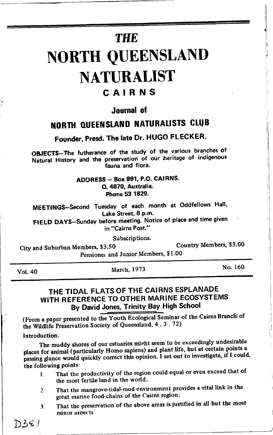# **THE** NORTH QUEENSLAND **NATURALIST** CAIRNS

### Journal of

## NORTH QUEENSLAND NATURALISTS CLUB

Founder, Presd. The late Dr. HUGO FLECKER.

OBJECTS-The futherance of the study of the various branches of Natural History and the preservation of our heritage of indigenous fauna and flora.

> ADDRESS - Box 991, P.O. CAIRNS. Q. 4870, Australia. Phone 53 1829.

MEETINGS-Second Tuesday of each month at Oddfellows Hall, Lake Street, 8 p.m.

FIELD DAYS-Sunday before meeting. Notice of place and time given in "Cairns Post."

Subscriptions.

City and Suburban Members, \$3.50 Country Members, \$3.00 Pensioner and Junior Members, \$1.00

Vol.40 March, <sup>1973</sup>

No. 160.

l ll

t1

### THE TIDAL FLATS OF THE CAIRNS ESPLANADE WITH REFERENCE TO OTHER MARINE ECOSYSTEMS By David Jones, Trinity Bay High School

(From a paper presented to the Youth Ecological Seminar of the Cairns Branch of the Wildlife Preservation Society of Queensland, 4.3.72)

Introduction:

The muddy shores of our estuaries mipht seem to be exceedingly undesirable places for animal (particularly Homo sapiens) and plant life, but at certain points a passing glance would quickly correct this opinion. I set out to investigate, if I could, the following Points:

- 1. That the productivity of the region could equal or even exceed that of the most fertile land in the world;
- 2 That the mangrove-tidal-mud environment provides a vital link in the great marine food-chains of the Cairns region:
- 3. That the preservation of the above areas is justified in all but the most minor asoects

 $D36/$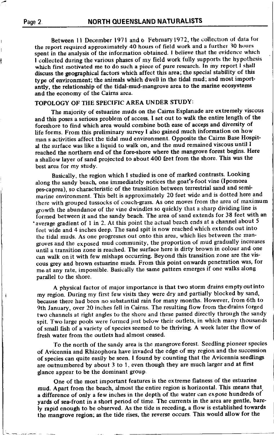j

Between 11 December 1971 and 6 February 1972, the collection of data for the report required approximately 4O hours of field work and a fttrther 30 hours spent in the analysis of the information obtained. I believe that the evidence which I collected during the various phases of my field work fully supports the hypothesis which first motivated me to do such a piece of pure research. In my report I shall discuss the geographical factors which affect this area; the special stability of this type of environment; the animals which dwell in the tidal mud; and most importantly, the relationship of the tidal-mud-mangrove area to the marine ecosystems and the economy of the Cairns arca.

#### TOPOLOGY OF THE SPECIFIC AREA UNDER STUDY:

The majority of estuarine muds on the Cairns Esplanade are extremely viscous and this poses a serious problem of access. I set out to walk the entire length of the foreshore to find which area would combine both ease of acceps and diversity of life forms. From this preliminary survey I also gained much information on how man s activities affecf the tidal mud environment. Opposite the Cairns Base Hospital the surface was like a liquid to walk on, and the mud remained viscous until I reached the northern end of the fore-shore where the mangrove forest begins. Here <sup>a</sup>shallow layer of sand projected to about 400 feet from the shore. This was the best area for my study.

Basically, the region which I studied is one of marked contrasts. Looking along the sandy beach, one immediately notices the goat's-foot vine (Ipomoea pes-caprea), so characteristic of the transition between terrestrial sand and semimarine environment. This belt is approximately 20 feet wide and is dotted here and there with grouped tussocks of couch-grass. As one moves from the area of maximum growth the abundance of the vine dwindles so quickly that a sharp\_dividing line is formed between it and the sandy beach. The area of sand extends for 38 feet with an 'average gradient of 1 in 2. At this point the actual beach ends at a channel about 5 feet wide and 4 inches deep. The sand spit is now reached which extends out into the tidal muds. As one progresses out onto this area, which lies between the mangroves and the exposed mud community, the proportion of mud gradually increases until a transition zone is reached. The surface here is dirty brown in colour and one can walk on it with few mishaps occurring. Beyond this transition zone are the viscous grey and brown estuarine muds. From this point onwards penetration was, for me at any rate, impossible. Basically the same pattern emerges if one walks along parallel to the shore.

A physical factor of major importance is that two storm drains emptyoutinto my region. During my first few visits they were dry and partially blocked by sand, because there had been no substantial rain for many months. However, from 6th to 9th January, over 20 inches fell in Cairns. The resulting flow from thedrains forged two channels at right angles to the shore and these passed directly through the sandy spit. Two large pools were formed just below their outlets, in which many thousands of small fish of a variety of species seemed to be thriving. A week later the flow of fresh water from the outlets had almost ceased.

To the north of the sandy area is the mangroveforest. Seedling pioneer species of Avicennia and Rhizophora have invaded the edge of my region and the succession of species can quite easily be seen. I found by counting that the Avicennia seedlings are outnumbered by about 3 to I, even though they are much larger and at first glance appear to be the dominant group-

One of the most important features is the extreme flatness of the estuarine mud. Apart from the beach, almost the entire region is horizontal. This means that. a difference of only a few inches in the depth of the water can expose hundreds of yards of sea-front in a short period of time. The currents in the area are gentle, barely rapid enough to be observed. As the tide is receding, a flow is established towards the mangrove region; as the tide rises, the reverse occurs. This would allow for the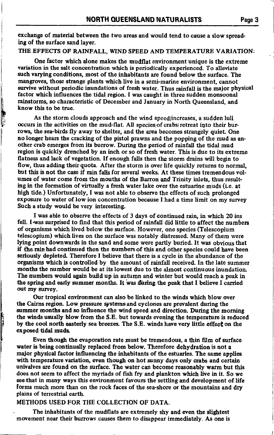exchange of material between the two areas and would tend to cause a slow spreading of the surface sand layer.

THE EFFECTS OF RAINFALL, WIND SPEED AND TEMPERATURE VARIATION:

One factor which alone makes the mudflat environment unique is the extreme variation in the salt concentration which is periodically experienced. To alleviate such varying conditions, most of the inhabitants are found below the surface. The mangroves, those strange plants which live in a semi-marine environment, cannot survive without periodic inundations of fresh water. Thus rainfall is the major physical factor which influences the tidal region. I was caught in three sudden monsoonal rainstorms, so characteristic of December and January in North Queensland, and know this to be true.

li

h

 $\frac{1}{2}$  and  $\frac{1}{2}$ 

As the storm clouds approach and the wind speed/increases, a sudden lull occurs in the activities on the mud-flat. All species of crabs retreat into their burrows, the sea-birds fly away to shelter, and the area becomes strangely quiet. One no longer hears the cracking of the pistol prawns and the popping of the mud as another crab emerges from its burrow. During the period of rainfall the tidal mud region is quickly drenched by an inch or so of fresh water. This is due to its extreme flatness and lack of vegetation. If enough falls then the storm drains will begin to flow, thus adding their quota. After the storm is over life quickly returns to normal, but this is not the case if rain falls for several weeks. At these times tremendous volumes of water come from the mouths of the Barron and Trinity inlets, thus resulting in the formation of virtually a fresh water lake over the estuarine muds (ie. at high tide.) Unfortunately. I was not able to observe the effects of such prolonged exposure to water of low ion concentration because I had a time limit on my survey Such a study would be very interesting.

I was able to observe the effects of 3 days of continued rain, in which 20 ins fell. I was surprised to find that this period of rainfall did little to affect the numbers of organisms which lived below the surface. However, one species (Telescopium telescopium) which lives on the surface was notably distressed. Many of them were lying point downwards in the sand and some were partly buried. It was obvious that if the rain had continued then the numbers of this and other species could have been seriously depleted. Therefore I believe that there is a cycle in the abundance of the organisms which is controlled by the amount of rainfall received. In the late summer months the number would be at its lowest due to the almost continuous inundation. The numbers would again build up in autumn and winter but would reach a peak in the spring and early summer months. It was during the peak that I believe I carried out my survey.

Our tropical environment can also be linked to the wiads which blow over the Cairns region. Low pressure systems and cyclones are prevalent during the summer months and so influence the wind speed and direction. During the morning the winds usually blow from the S.E. but towards evening the temperature is reduced by the cool north easterly sea breezes. The S.E. winds have very little effect on the exposed tidal muds.

Even though the evaporation rate must be tremendous, a thin film of surface water is being continually replaced from below. Therefore dehydration is not a major physical factor influencing the inhabitants of the estuaries. The same applies with temperature variation, even though on hot sunny days only crabs and certain univalves are found on the surface. The water can become reasonably warm but this does not seem to affect the myriads of fish fry and plankton which live in it. So we see that in many ways this environment favours the settling and development of life forms much more than on the rock faces of the sea-shore or the mountains and dry plains of terrestrial earth.

#### METHODS USED FOR THE COLLECTION OF DATA.

The inhabitants of the mudflats are extremely shy and even the slightest movement near their burrows causes them to disappear immediately. As one is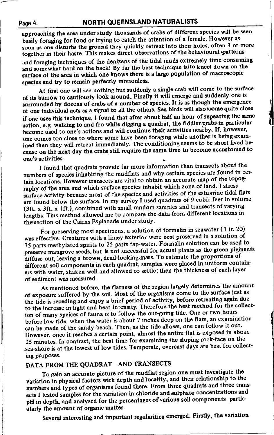approaching the area under study thousands of crabs of different species will be seen busily foraging for food or trying to catch the attention of a female. However as soon as one disturbs the ground they quickly retreat into their holes, often 3 or more together in their haste. This makes direct observations of the behavioural patterns

and foraging techniques of the denizens of the tidal muds extremely time consuming and somewhat hard on the back! By far the best technique is to kneel down on the surface of the area in which one knows there is a large population of macroscopic species and try to remain perfectly motionless.

At first one will see nothing but suddenly a single crab will come to the surface of it8 burrow to cautiously look around. Finally it will emerge and suddenly one is surrounded by dozens of crabs of a number of species. It is as though the emergence of one individual acts as a signal to all the others. Sea birds will also come quite close if one uses this technique. I found that after about half an hour of repeating the same action, e.g. walking to and fro while digging a quadrat, the fiddler crabs in particular become used to one's actions and will continue their activities nearby. If, however, one comes too close to where some have been foraging while anothor is being examined then they will retreat immediately. The conditioning seems to be short-lived because on the next day the crabs still require the same time to become accustomed to one's activities. one's activities.

I found that quadrats provide far more information than transects about the numbers of species inhabiting the mudflats and why certain species are found in certain locations. However transects are vital to obtain an accurate map of the topography of the area and which surface species inhabit which zone of land. I stress surface activity because most of the species and activities of the estuarine tidal flats are found below the surface. In my survey I used quadrats of 9 cubic feet in volume (3ft.  $x$  3ft.  $x$  1ft.), combined with small random samples and transects of varying lengths. This method allowed me to compare the data from different locations in the section of the Cairns Esplanade under study.

For preserving most specimens, a solution of formalin in seawater ( I in 20) was effective. Creatures with a limey exterior were best preserved in a solution of 75 parts methylated spirits to 25 parts tap-water. Formalin solution can be used to preserve mangrove seeds, but is not successful for actual plants as the green pigments diffuse out, leaving a brown, dead-looking mass. To estimate the proportions of different soil components in each quadrat, samples were placed in uniform containers with water, shaken well and allowed to settle; then the thickness of each layer of sediment was measured.

As mentioned before, the flatness of the region largely determines the amount of exposure suffered by the soil. Most of the organisms come to the surface just as the tide is receding and enjoy a brief period of activity, before retreating again due to the increase in light and heat intensity. Therefore the best method for the collection of many speices of fauna is to follow the out-going tide. One or two hours before low tide, when the water is about  $7$  inches deep on the flats, an examination can be made of the sandy beach. Then, as the tide allows, one can follow it out. However, once it reaches a certain point, almost the entire flat is exposed in about 25 minutes. In contrast, the best time for examining the sloping rock-face on the sea-shore is at the lowest of low tides. Temperate, overcast days are best for collecting purposes.

### DATA FROM THE QUADRAT AND TRANSECTS

To gain an accurate picture of the mudflat region one must investigato the variation in physical factors with depth and locality, and their relationship to the numbers and types of organisms found there. From three quadrats and three transects I tested samples for the variation in chloride and sulphate concentrations and pH in depth, and analysed for the percentages of various soil components particularly the amount of organic matter.

Several interesting and important regularitios emerged. Firstly, the variation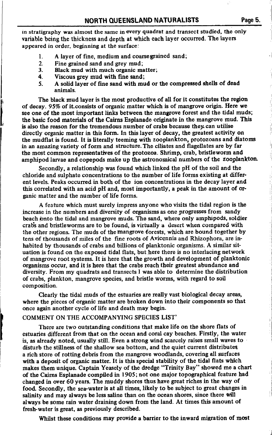in stratigraphy was almost the same in every quadrat and transect studied, the only variable being the thickness and depth at which each layer occurred. The layers appeared in order, beginning at the surface:

- 1. A layer of fine, medium and coarse grained sand;<br>2. Fine grained sand and grev mud;
- 
- 3. Black mud with much organic matter;<br>4. Black mudic with fine sand:
- 4. Viscous grey mud with fine sand;<br>5. A solid laver of fine sand with mu
- 5. A solid layer of fine sand with mud or the compressod shells of dead animals.

The black mud layer is the most productive of all for it constitutes the region of decay. 95Vo of it consists of organic mattor which is of mangrove origin. Here we see one of the most important links between the mangrove forest and the tidal muds; the basic food materials of the Cairns Esplanade originate in the mangrove mud. This is also the reason for the tremendous number of crabs because they. can utilise directly organic matter in this forrn. In this layer of decay, the greatest activity on the mudflat is found. It is literally teeming with zooplankton, protozoans and diatoms in an amazing variety of form and structure. The ciliates and flagellates are by far the most common representatives of the protozoa. Shrimp, crab, bristleworm and amphipod larvae and copepods make up the astronomical numbers of the Zooplankton.

Secondly, a relationship was found which linked the pH of the soil and the chloride and sulphate concentrations to the number of life forms existing at different levels. Peaks occurred in both of the ion concentrations in the decay layer and this sorrelated with an acid pH and, most importantly, a peak in the amount of organic matter and the number of life forms.

A feature which must surely impress anyone who visits the tidal region is the increase in the numbers and diversity of organisms as one progresses from sandy beach ionto the tidal and mangrove muds. The sand, where only amphipods, soldier crab's and bristleworms are to be found, is virtually a desert when compared with the other regions. The muds of the mangrove forests, which are bound together by tens of thousands of miles of the fine roots of Avicennia and Rhizophora, are inhabited by thousands of crabs and billions of planktonic organisms. A similar situation is found on the exposed tidal flats, but.here there is no interlacing network of mangrove root systems. It is here that the growth and development of planktonic organisms occur, and it is hore that the crabs reach their greatest abundance and diversity. From my quadrats and transects I was able to determine the distribution of crabs, plankton, mangrove species, and bristle worns, with regard to soil composition.

Clearly the tidal muds of the estuaries are really vast biological decay areas, where the pieces of organic matter are broken down into their components 8o that once again another cycle of life and death may begin.

#### COMMENT ON THE ACCOMPANYING SPECIES LIST'

There are two outstanding conditions that make life on the shore flats of estuaries different from that on the ocean and coral cay beaches. Firstly, the water is, as already noted, usually still. Even a strong wind scarcely raises small waves to disturb the stillness of the shallow sea bottom, and the quiet current distributes a rich store of rotting debris from the mangrove woodlands, covering all surfaces with a deposit of organic matter. It is this special stability of the tidal flats which makes them unique. Captain Yeasely of the dredge "Trinity Bay" showed me a chart of the Cairns Esplanade compiled in 1905; not one major topographical feature had changed in over 60 years. The muddy shores thus have great riches in the way of food. Secondly, the sea-water is at all times, likely to be subject to great changes in salinity and may always be less saline than on the ocean shores, since there will always be some rain water draining down from the land. At times this amount of fresh-water is great, as previously described.

Whilst these conditions may provide a barrier to the inward migration of most

.1

l

I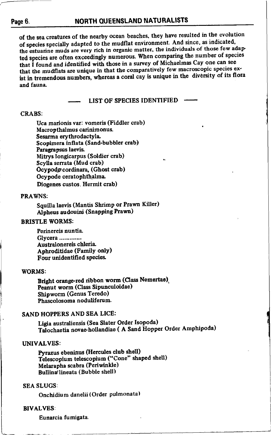----

of the Sea creatures of the nearby ocean beaches. they have resulted in the evolution of species specially adapted to the mudflat environment. And since, as indicated, the estuarine muds are very rich in organic matter, the individuals of those few adapted species are often exceedingly numerous. When comparing the number of species that I found and identified with those in a survey of Michaelmas Cay one can see that the mudflats are unique in that the comparatively few macroscopic species exist in tremendous numbers, whereas a coral cav is unique in the diversity of its flora and fauna

### LIST OF SPECIES IDENTIFIED

#### CRABS:

Uca marionis var: vomeris (Fiddler crab) Macropthalmus carinimonus. Sesarma erythrodactyla Scoplmera inflata (Sand-bubbler crab) Paragrapsus laevis. Mitrys longicarpus (Soldier crab) Scylla serrata (Mud crab) Ocypodg cordinara, (Ghost crab) Ocypode ceratophthalma Diogenes custos, Hermit crab)

#### PRAWNS:

Squilla laevis (Mantis Shrimp or Prawn Killer) Alpheus audouini (Snapping Prawn)

#### BRISTLE WORMS:

Perinereis nuntia. Glycera ............. Australonereis chleria Aphroditidae (Family only) Four unidentified species.

#### WORMS:

Bright orange-red ribbon worm (Class Nemertae) Peanut worm (Class Sipunculoidae) Shipworm (Genus Teredo) Phascolosoma noduliferum.

#### SAND HOPPERS AND SEA LICE:

Ligia australiensis (Sea Slater Order Isopoda) Talochaetia novae-hollandiae ( A Sand Hopper Order Amphipoda)

#### UNIVALVES:

Pyrazus ebeninus (Hercules club shell) Telescopium telescopium ("Cone" shaped shell) Melarapha scabra (Periwinkle) Bullinar lineata ( Bubble shell)

#### SEA SLUGS:

Onchidium danelii (Order pulmonata)

#### BIVALVES:

Eunarcia fumigata.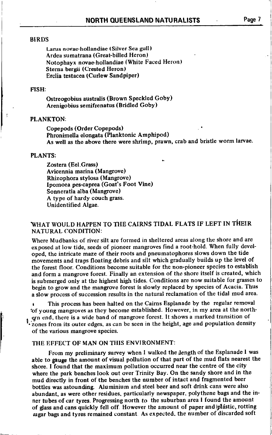#### **BIRDS**

Larus novae-hollandiae (Silver Sea gull) Ardea sumatrana (Great-billed Heron) Notophayx novae-hollandiae (White Faced Heron) Sterna bergii (Crested Heron) Erclia testacea (Curlew Sandpiper)

#### FISH:

Ostreogobius australis (Brown Speckled Goby) Arenigobius semifrenatus (Bridled Goby)

#### PLANKTON:

Copepods (Order Copepods) Phronimella elongata (Planktonic Amphipod) As well as the above there were shrimp, prawn, crab and bristle worm larvae.

#### PLANTS:

Zostera (Eel.Grass) Avicennia marina (Mangrove) Rhizophora stylosa (Mangrove) Ipomoea pes-caprea (Goat's Foot Vine) Sonneratia alba (Mangrove) A type of hardy couch grass. Unidentified Algae.

### WHAT WOULD HAPPEN TO THE CAIRNS TIDAL FLATS IF LEFT IN THEIR NATURAL CONDITION:

Where Mudbanks of river silt are formed in sheltered areas along the shore and are exposed at low tide, seeds of pioneer mangroves find a root-hold. When fully developed, the intricate maze of their roots and pneumatophores slows down the tide mbvements and traps floating debris and silt which gradually builds up the level of the forest floor. Conditions become suitable for the non-pioneer species to establish and form a mangrove forest. Finally an extension of the shore itself is created, which is submerged only at the highest high tides. Conditions are now suitable for grasses to begin to grow and the mangrove forest is slowly replaced by species of Acacia. Thus <sup>a</sup>slow process of succession results in the natural reclamation of the tidal mud area.

This process has been halted on the Cairns Esplanade by the regular removal iof young mangroves as they become established. However, in my area at the north- . qrn end, there is a wide band of mangrove forest. lt shows a rnarked transition of zones from its outer edges, as can be seen in the height, age and population density of the various mangrove species.

#### THE EFFECT OF MAN ON THIS ENVIRONMENT:

From my preliminary survey when I walked the [ength of the Esplanade I was able to gauge the amount of visual pollution of that part of the mud flats nearest the shore. I found that the maximum pollution occurred near the centre of the city where the park benches look out over Trinity Bay. On the sandy shore and in the mud directly in front of the benches the number of intact and fragmented beer bottles was astounding. Aluminium and steel beer and soft drink cans were also abundant, as were other residues. particularly newspaper. polythene bags and the inner tubes of car tyres. Progressing north to the suburban area I found the amount of glass and cans quickly fell off. However the amount of paper and plastic, rotting ;ugar bags and tyres remained constant As expected. the number of discarded soft